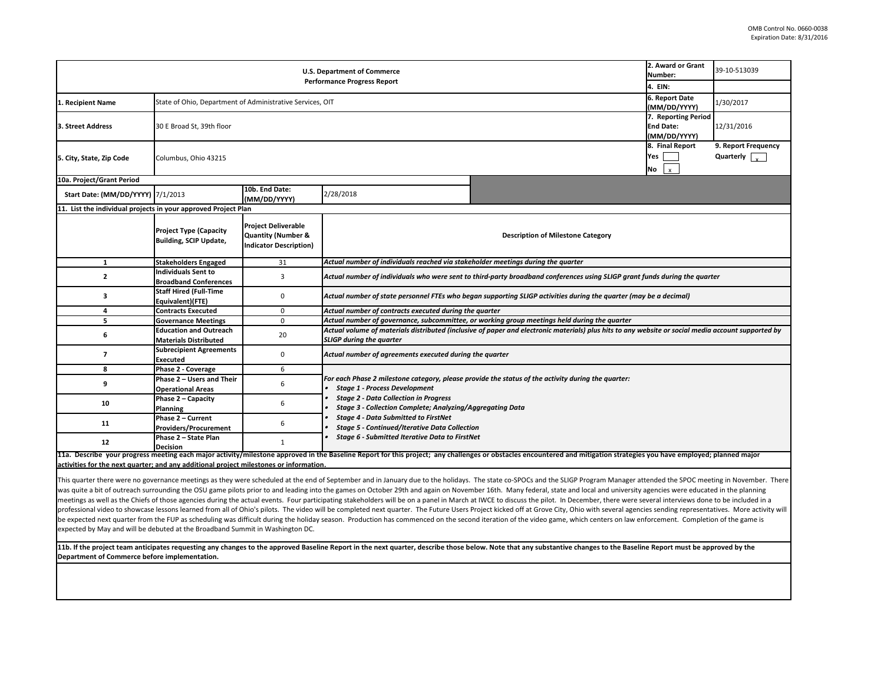| <b>U.S. Department of Commerce</b>                                                     |                                                                |                                                                                   |                                                                                                                                                                                       | 2. Award or Grant<br>Number:                                                                                                                                                                                                                                                                                                                                                                                                                                                                                                                                                                                                                                                                                                                                                                                                                                                                                                                                                                                                                                                                                                                                         | 39-10-513039                                                                   |            |  |  |
|----------------------------------------------------------------------------------------|----------------------------------------------------------------|-----------------------------------------------------------------------------------|---------------------------------------------------------------------------------------------------------------------------------------------------------------------------------------|----------------------------------------------------------------------------------------------------------------------------------------------------------------------------------------------------------------------------------------------------------------------------------------------------------------------------------------------------------------------------------------------------------------------------------------------------------------------------------------------------------------------------------------------------------------------------------------------------------------------------------------------------------------------------------------------------------------------------------------------------------------------------------------------------------------------------------------------------------------------------------------------------------------------------------------------------------------------------------------------------------------------------------------------------------------------------------------------------------------------------------------------------------------------|--------------------------------------------------------------------------------|------------|--|--|
|                                                                                        |                                                                |                                                                                   | <b>Performance Progress Report</b>                                                                                                                                                    |                                                                                                                                                                                                                                                                                                                                                                                                                                                                                                                                                                                                                                                                                                                                                                                                                                                                                                                                                                                                                                                                                                                                                                      |                                                                                |            |  |  |
| 1. Recipient Name                                                                      | State of Ohio, Department of Administrative Services, OIT      |                                                                                   |                                                                                                                                                                                       |                                                                                                                                                                                                                                                                                                                                                                                                                                                                                                                                                                                                                                                                                                                                                                                                                                                                                                                                                                                                                                                                                                                                                                      | 6. Report Date<br>(MM/DD/YYYY)                                                 | 1/30/2017  |  |  |
| 3. Street Address                                                                      | 30 E Broad St, 39th floor                                      |                                                                                   |                                                                                                                                                                                       |                                                                                                                                                                                                                                                                                                                                                                                                                                                                                                                                                                                                                                                                                                                                                                                                                                                                                                                                                                                                                                                                                                                                                                      | 7. Reporting Period<br><b>End Date:</b>                                        | 12/31/2016 |  |  |
|                                                                                        |                                                                |                                                                                   |                                                                                                                                                                                       |                                                                                                                                                                                                                                                                                                                                                                                                                                                                                                                                                                                                                                                                                                                                                                                                                                                                                                                                                                                                                                                                                                                                                                      | (MM/DD/YYYY)                                                                   |            |  |  |
| 5. City, State, Zip Code                                                               | Columbus, Ohio 43215                                           |                                                                                   |                                                                                                                                                                                       | 8. Final Report<br><b>Yes</b><br>No<br>$\mathbf{x}$                                                                                                                                                                                                                                                                                                                                                                                                                                                                                                                                                                                                                                                                                                                                                                                                                                                                                                                                                                                                                                                                                                                  | 9. Report Frequency<br>Quarterly $\left[\begin{array}{c} 1 \end{array}\right]$ |            |  |  |
| 10a. Project/Grant Period                                                              |                                                                |                                                                                   |                                                                                                                                                                                       |                                                                                                                                                                                                                                                                                                                                                                                                                                                                                                                                                                                                                                                                                                                                                                                                                                                                                                                                                                                                                                                                                                                                                                      |                                                                                |            |  |  |
| <b>Start Date: (MM/DD/YYYY) 7/1/2013</b>                                               |                                                                | 10b. End Date:<br>(MM/DD/YYYY)                                                    | 2/28/2018                                                                                                                                                                             |                                                                                                                                                                                                                                                                                                                                                                                                                                                                                                                                                                                                                                                                                                                                                                                                                                                                                                                                                                                                                                                                                                                                                                      |                                                                                |            |  |  |
| 11. List the individual projects in your approved Project Plan                         |                                                                |                                                                                   |                                                                                                                                                                                       |                                                                                                                                                                                                                                                                                                                                                                                                                                                                                                                                                                                                                                                                                                                                                                                                                                                                                                                                                                                                                                                                                                                                                                      |                                                                                |            |  |  |
|                                                                                        | <b>Project Type (Capacity</b><br><b>Building, SCIP Update,</b> | <b>Project Deliverable</b><br>Quantity (Number &<br><b>Indicator Description)</b> |                                                                                                                                                                                       | <b>Description of Milestone Category</b>                                                                                                                                                                                                                                                                                                                                                                                                                                                                                                                                                                                                                                                                                                                                                                                                                                                                                                                                                                                                                                                                                                                             |                                                                                |            |  |  |
| $\mathbf 1$                                                                            | <b>Stakeholders Engaged</b>                                    | 31                                                                                | Actual number of individuals reached via stakeholder meetings during the quarter                                                                                                      |                                                                                                                                                                                                                                                                                                                                                                                                                                                                                                                                                                                                                                                                                                                                                                                                                                                                                                                                                                                                                                                                                                                                                                      |                                                                                |            |  |  |
|                                                                                        | <b>Individuals Sent to</b><br><b>Broadband Conferences</b>     | 3                                                                                 |                                                                                                                                                                                       | Actual number of individuals who were sent to third-party broadband conferences using SLIGP grant funds during the quarter                                                                                                                                                                                                                                                                                                                                                                                                                                                                                                                                                                                                                                                                                                                                                                                                                                                                                                                                                                                                                                           |                                                                                |            |  |  |
| 3                                                                                      | <b>Staff Hired (Full-Time</b><br>Equivalent)(FTE)              | 0                                                                                 | Actual number of state personnel FTEs who began supporting SLIGP activities during the quarter (may be a decimal)                                                                     |                                                                                                                                                                                                                                                                                                                                                                                                                                                                                                                                                                                                                                                                                                                                                                                                                                                                                                                                                                                                                                                                                                                                                                      |                                                                                |            |  |  |
|                                                                                        | <b>Contracts Executed</b>                                      | 0                                                                                 | Actual number of contracts executed during the quarter                                                                                                                                |                                                                                                                                                                                                                                                                                                                                                                                                                                                                                                                                                                                                                                                                                                                                                                                                                                                                                                                                                                                                                                                                                                                                                                      |                                                                                |            |  |  |
|                                                                                        | <b>Governance Meetings</b>                                     | 0                                                                                 |                                                                                                                                                                                       | Actual number of governance, subcommittee, or working group meetings held during the quarter                                                                                                                                                                                                                                                                                                                                                                                                                                                                                                                                                                                                                                                                                                                                                                                                                                                                                                                                                                                                                                                                         |                                                                                |            |  |  |
| 6                                                                                      | <b>Education and Outreach</b><br><b>Materials Distributed</b>  | 20                                                                                | Actual volume of materials distributed (inclusive of paper and electronic materials) plus hits to any website or social media account supported by<br><b>SLIGP during the quarter</b> |                                                                                                                                                                                                                                                                                                                                                                                                                                                                                                                                                                                                                                                                                                                                                                                                                                                                                                                                                                                                                                                                                                                                                                      |                                                                                |            |  |  |
|                                                                                        | <b>Subrecipient Agreements</b><br>Executed                     | 0                                                                                 | Actual number of agreements executed during the quarter                                                                                                                               |                                                                                                                                                                                                                                                                                                                                                                                                                                                                                                                                                                                                                                                                                                                                                                                                                                                                                                                                                                                                                                                                                                                                                                      |                                                                                |            |  |  |
| 8                                                                                      | Phase 2 - Coverage                                             | 6                                                                                 |                                                                                                                                                                                       |                                                                                                                                                                                                                                                                                                                                                                                                                                                                                                                                                                                                                                                                                                                                                                                                                                                                                                                                                                                                                                                                                                                                                                      |                                                                                |            |  |  |
|                                                                                        | Phase 2 - Users and Their<br><b>Operational Areas</b>          |                                                                                   | For each Phase 2 milestone category, please provide the status of the activity during the quarter:<br><b>Stage 1 - Process Development</b>                                            |                                                                                                                                                                                                                                                                                                                                                                                                                                                                                                                                                                                                                                                                                                                                                                                                                                                                                                                                                                                                                                                                                                                                                                      |                                                                                |            |  |  |
| 10                                                                                     | Phase 2 - Capacity<br><b>Planning</b>                          |                                                                                   | <b>Stage 2 - Data Collection in Progress</b><br><b>Stage 3 - Collection Complete; Analyzing/Aggregating Data</b>                                                                      |                                                                                                                                                                                                                                                                                                                                                                                                                                                                                                                                                                                                                                                                                                                                                                                                                                                                                                                                                                                                                                                                                                                                                                      |                                                                                |            |  |  |
| 11                                                                                     | Phase 2 - Current<br><b>Providers/Procurement</b>              |                                                                                   | <b>Stage 4 - Data Submitted to FirstNet</b><br><b>Stage 5 - Continued/Iterative Data Collection</b><br><b>Stage 6 - Submitted Iterative Data to FirstNet</b>                          |                                                                                                                                                                                                                                                                                                                                                                                                                                                                                                                                                                                                                                                                                                                                                                                                                                                                                                                                                                                                                                                                                                                                                                      |                                                                                |            |  |  |
| 12                                                                                     | Phase 2 - State Plan<br><b>Decision</b>                        |                                                                                   |                                                                                                                                                                                       |                                                                                                                                                                                                                                                                                                                                                                                                                                                                                                                                                                                                                                                                                                                                                                                                                                                                                                                                                                                                                                                                                                                                                                      |                                                                                |            |  |  |
| activities for the next quarter; and any additional project milestones or information. |                                                                |                                                                                   |                                                                                                                                                                                       | 11a. Describe your progress meeting each major activity/milestone approved in the Baseline Report for this project; any challenges or obstacles encountered and mitigation strategies you have employed; planned major                                                                                                                                                                                                                                                                                                                                                                                                                                                                                                                                                                                                                                                                                                                                                                                                                                                                                                                                               |                                                                                |            |  |  |
| expected by May and will be debuted at the Broadband Summit in Washington DC.          |                                                                |                                                                                   |                                                                                                                                                                                       | This quarter there were no governance meetings as they were scheduled at the end of September and in January due to the holidays. The state co-SPOCs and the SLIGP Program Manager attended the SPOC meeting in November. Ther<br>was quite a bit of outreach surrounding the OSU game pilots prior to and leading into the games on October 29th and again on November 16th. Many federal, state and local and university agencies were educated in the plannin<br>meetings as well as the Chiefs of those agencies during the actual events. Four participating stakeholders will be on a panel in March at IWCE to discuss the pilot. In December, there were several interviews done to be inc<br>professional video to showcase lessons learned from all of Ohio's pilots. The video will be completed next quarter. The Future Users Project kicked off at Grove City, Ohio with several agencies sending representatives. Mor<br>be expected next quarter from the FUP as scheduling was difficult during the holiday season. Production has commenced on the second iteration of the video game, which centers on law enforcement. Completion of the game is |                                                                                |            |  |  |
| Department of Commerce before implementation.                                          |                                                                |                                                                                   |                                                                                                                                                                                       | 11b. If the project team anticipates requesting any changes to the approved Baseline Report in the next quarter, describe those below. Note that any substantive changes to the Baseline Report must be approved by the                                                                                                                                                                                                                                                                                                                                                                                                                                                                                                                                                                                                                                                                                                                                                                                                                                                                                                                                              |                                                                                |            |  |  |
|                                                                                        |                                                                |                                                                                   |                                                                                                                                                                                       |                                                                                                                                                                                                                                                                                                                                                                                                                                                                                                                                                                                                                                                                                                                                                                                                                                                                                                                                                                                                                                                                                                                                                                      |                                                                                |            |  |  |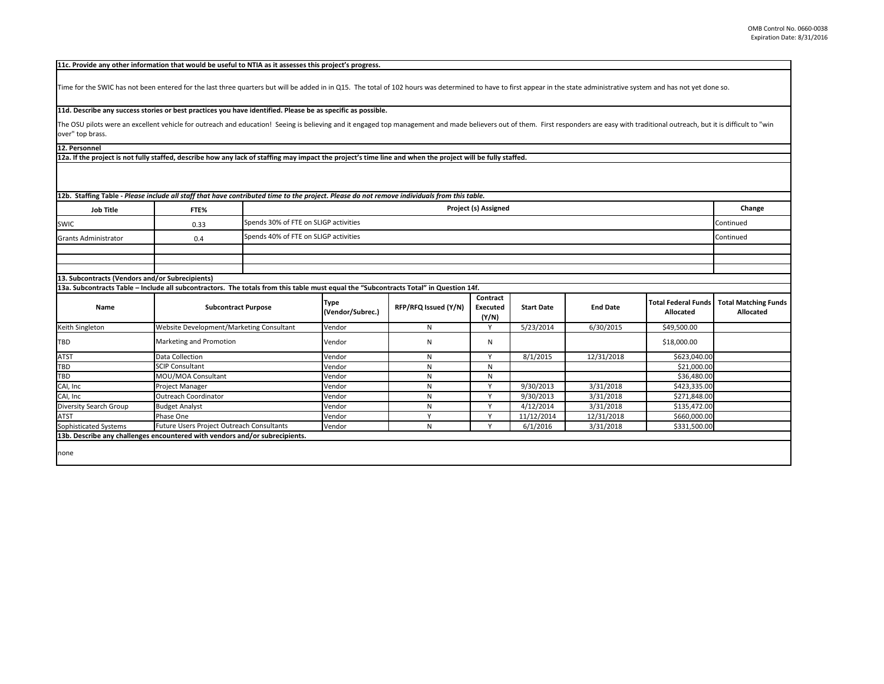The OSU pilots were an excellent vehicle for outreach and education! Seeing is believing and it engaged top management and made believers out of them. First respo over" top brass.

**12b. Staffing Table -** *Please include all staff that have contributed time to the project. Please do not remove individuals from this table.*

**12a. If the project is not fully staffed, describe how any lack of staffing may impact the project's time line and when the project will be fully staffed.**

**12. Personnel** 

| <b>Job Title</b>                                | FTE% | <b>Project (s) Assigned</b>           | Change    |
|-------------------------------------------------|------|---------------------------------------|-----------|
| <b>SWIC</b>                                     | 0.33 | Spends 30% of FTE on SLIGP activities | Continued |
| <b>Grants Administrator</b>                     | 0.4  | Spends 40% of FTE on SLIGP activities | Continued |
|                                                 |      |                                       |           |
|                                                 |      |                                       |           |
|                                                 |      |                                       |           |
| 13. Subcontracts (Vendors and/or Subrecipients) |      |                                       |           |

| <b>Name</b>            | <b>Subcontract Purpose</b>                                                  | Type<br>(Vendor/Subrec.) | RFP/RFQ Issued (Y/N) | <b>Contract</b><br><b>Executed</b><br>(Y/N) | <b>Start Date</b> | <b>End Date</b> | Total Federal Funds<br><b>Allocated</b> |
|------------------------|-----------------------------------------------------------------------------|--------------------------|----------------------|---------------------------------------------|-------------------|-----------------|-----------------------------------------|
| Keith Singleton        | <b>Website Development/Marketing Consultant</b>                             | Vendor                   | N                    |                                             | 5/23/2014         | 6/30/2015       | \$49,500.00                             |
| <b>TBD</b>             | Marketing and Promotion                                                     | Vendor                   | N                    | N                                           |                   |                 | \$18,000.00                             |
| <b>ATST</b>            | Data Collection                                                             | Vendor                   |                      |                                             | 8/1/2015          | 12/31/2018      | \$623,040.00                            |
| <b>TBD</b>             | <b>SCIP Consultant</b>                                                      | Vendor                   |                      | N                                           |                   |                 | \$21,000.00                             |
| <b>TBD</b>             | MOU/MOA Consultant                                                          | Vendor                   |                      | N.                                          |                   |                 | \$36,480.00                             |
| CAI, Inc               | <b>Project Manager</b>                                                      | Vendor                   |                      |                                             | 9/30/2013         | 3/31/2018       | \$423,335.00                            |
| CAI, Inc               | Outreach Coordinator                                                        | Vendor                   |                      |                                             | 9/30/2013         | 3/31/2018       | \$271,848.00                            |
| Diversity Search Group | <b>Budget Analyst</b>                                                       | Vendor                   |                      |                                             | 4/12/2014         | 3/31/2018       | \$135,472.00                            |
| <b>ATST</b>            | Phase One                                                                   | Vendor                   |                      |                                             | 11/12/2014        | 12/31/2018      | \$660,000.00                            |
| Sophisticated Systems  | Future Users Project Outreach Consultants                                   | Vendor                   |                      |                                             | 6/1/2016          | 3/31/2018       | \$331,500.00                            |
|                        | 13b. Describe any challenges encountered with vendors and/or subrecipients. |                          |                      |                                             |                   |                 |                                         |

## **11d. Describe any success stories or best practices you have identified. Please be as specific as possible.**

## **11c. Provide any other information that would be useful to NTIA as it assesses this project's progress.**

Time for the SWIC has not been entered for the last three quarters but will be added in in Q15. The total of 102 hours was determined to have to first appear in the st

**13a. Subcontracts Table – Include all subcontractors. The totals from this table must equal the "Subcontracts Total" in Question 14f.**

|                   |                 | appear in the state administrative system and has not yet done so.                    |                                                 |
|-------------------|-----------------|---------------------------------------------------------------------------------------|-------------------------------------------------|
|                   |                 | hem. First responders are easy with traditional outreach, but it is difficult to "win |                                                 |
|                   |                 |                                                                                       |                                                 |
| d.                |                 |                                                                                       |                                                 |
|                   |                 |                                                                                       |                                                 |
|                   |                 |                                                                                       |                                                 |
|                   |                 |                                                                                       | Change                                          |
|                   |                 |                                                                                       | Continued                                       |
|                   |                 |                                                                                       | Continued                                       |
|                   |                 |                                                                                       |                                                 |
|                   |                 |                                                                                       |                                                 |
|                   |                 |                                                                                       |                                                 |
|                   |                 |                                                                                       |                                                 |
|                   |                 |                                                                                       |                                                 |
|                   |                 |                                                                                       |                                                 |
| <b>Start Date</b> | <b>End Date</b> | <b>Total Federal Funds</b><br><b>Allocated</b>                                        | <b>Total Matching Funds</b><br><b>Allocated</b> |
|                   | 6/30/2015       | \$49,500.00                                                                           |                                                 |
| 5/23/2014         |                 | \$18,000.00                                                                           |                                                 |
|                   |                 | \$623,040.00                                                                          |                                                 |
| 8/1/2015          | 12/31/2018      | \$21,000.00                                                                           |                                                 |
|                   |                 | \$36,480.00                                                                           |                                                 |
| 9/30/2013         | 3/31/2018       | \$423,335.00                                                                          |                                                 |
| 9/30/2013         | 3/31/2018       | \$271,848.00                                                                          |                                                 |
| 4/12/2014         | 3/31/2018       | \$135,472.00                                                                          |                                                 |
| 11/12/2014        | 12/31/2018      | \$660,000.00                                                                          |                                                 |

none